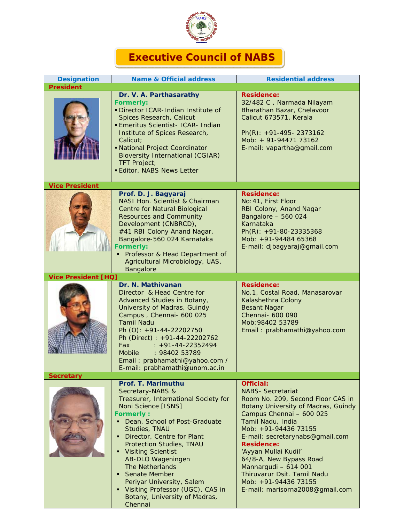

## **Executive Council of NABS**

| <b>Designation</b>         | <b>Name &amp; Official address</b>                                                                                                                                                                                                                                                                                                                                                                                                                                                      | <b>Residential address</b>                                                                                                                                                                                                                                                                                                                                                                                                            |
|----------------------------|-----------------------------------------------------------------------------------------------------------------------------------------------------------------------------------------------------------------------------------------------------------------------------------------------------------------------------------------------------------------------------------------------------------------------------------------------------------------------------------------|---------------------------------------------------------------------------------------------------------------------------------------------------------------------------------------------------------------------------------------------------------------------------------------------------------------------------------------------------------------------------------------------------------------------------------------|
| <b>President</b>           |                                                                                                                                                                                                                                                                                                                                                                                                                                                                                         |                                                                                                                                                                                                                                                                                                                                                                                                                                       |
|                            | Dr. V. A. Parthasarathy<br><b>Formerly:</b><br>· Director ICAR-Indian Institute of<br>Spices Research, Calicut<br><b>Emeritus Scientist- ICAR- Indian</b><br>Institute of Spices Research,<br>Calicut:<br>• National Project Coordinator<br><b>Bioversity International (CGIAR)</b><br><b>TFT Project;</b><br><b>Editor, NABS News Letter</b>                                                                                                                                           | <b>Residence:</b><br>32/482 C, Narmada Nilayam<br>Bharathan Bazar, Chelavoor<br>Calicut 673571, Kerala<br>$Ph(R): +91-495-2373162$<br>Mob: + 91-94471 73162<br>E-mail: vapartha@gmail.com                                                                                                                                                                                                                                             |
| <b>Vice President</b>      |                                                                                                                                                                                                                                                                                                                                                                                                                                                                                         |                                                                                                                                                                                                                                                                                                                                                                                                                                       |
|                            | Prof. D. J. Bagyaraj<br>NASI Hon. Scientist & Chairman<br><b>Centre for Natural Biological</b><br><b>Resources and Community</b><br>Development (CNBRCD),<br>#41 RBI Colony Anand Nagar,<br>Bangalore-560 024 Karnataka<br><b>Formerly:</b><br>Professor & Head Department of<br>Agricultural Microbiology, UAS,<br>Bangalore                                                                                                                                                           | <b>Residence:</b><br>No: 41, First Floor<br>RBI Colony, Anand Nagar<br>Bangalore - 560 024<br>Karnataka<br>$Ph(R): +91-80-23335368$<br>Mob: +91-94484 65368<br>E-mail: djbagyaraj@gmail.com                                                                                                                                                                                                                                           |
| <b>Vice President [HQ]</b> |                                                                                                                                                                                                                                                                                                                                                                                                                                                                                         |                                                                                                                                                                                                                                                                                                                                                                                                                                       |
|                            | Dr. N. Mathivanan<br>Director & Head Centre for<br>Advanced Studies in Botany,<br>University of Madras, Guindy<br>Campus, Chennai- 600 025<br><b>Tamil Nadu</b><br>Ph (O): +91-44-22202750<br>Ph (Direct) : +91-44-22202762<br>Fax<br>$: +91 - 44 - 22352494$<br>: 98402 53789<br><b>Mobile</b><br>Email: prabhamathi@yahoo.com /<br>E-mail: prabhamathi@unom.ac.in                                                                                                                     | <b>Residence:</b><br>No.1, Costal Road, Manasarovar<br>Kalashethra Colony<br><b>Besant Nagar</b><br>Chennai- 600 090<br>Mob: 98402 53789<br>Email: prabhamathi@yahoo.com                                                                                                                                                                                                                                                              |
| <b>Secretary</b>           |                                                                                                                                                                                                                                                                                                                                                                                                                                                                                         |                                                                                                                                                                                                                                                                                                                                                                                                                                       |
|                            | Prof. T. Marimuthu<br>Secretary-NABS &<br>Treasurer, International Society for<br>Noni Science [ISNS]<br><b>Formerly:</b><br>Dean, School of Post-Graduate<br>Studies, TNAU<br>Director, Centre for Plant<br>٠<br><b>Protection Studies, TNAU</b><br><b>Visiting Scientist</b><br>٠<br>AB-DLO Wageningen<br>The Netherlands<br><b>Senate Member</b><br>$\blacksquare$<br>Periyar University, Salem<br>Visiting Professor (UGC), CAS in<br>٠<br>Botany, University of Madras,<br>Chennai | <b>Official:</b><br><b>NABS- Secretariat</b><br>Room No. 209, Second Floor CAS in<br><b>Botany University of Madras, Guindy</b><br>Campus Chennai - 600 025<br>Tamil Nadu, India<br>Mob: +91-94436 73155<br>E-mail: secretarynabs@gmail.com<br><b>Residence:</b><br>'Ayyan Mullai Kudil'<br>64/8-A, New Bypass Road<br>Mannargudi - 614 001<br>Thiruvarur Dsit. Tamil Nadu<br>Mob: +91-94436 73155<br>E-mail: marisorna2008@gmail.com |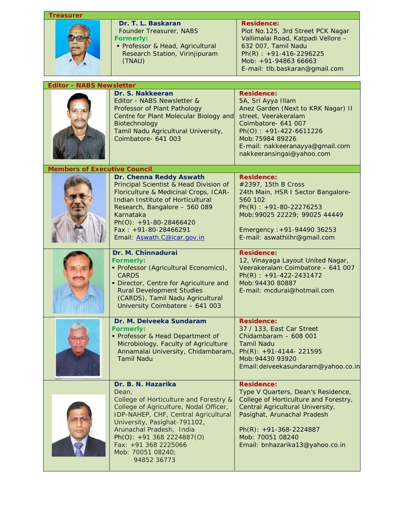| <b>Treasurer</b>                    |                                                                                                                                                                                                                                                                                                                |                                                                                                                                                                                                                                                        |  |  |
|-------------------------------------|----------------------------------------------------------------------------------------------------------------------------------------------------------------------------------------------------------------------------------------------------------------------------------------------------------------|--------------------------------------------------------------------------------------------------------------------------------------------------------------------------------------------------------------------------------------------------------|--|--|
|                                     | Dr. T. L. Baskaran<br>Founder Treasurer, NABS<br><b>Formerly:</b><br>• Professor & Head, Agricultural<br>Research Station, Virinjipuram<br>(TNAU)                                                                                                                                                              | <b>Residence:</b><br>Plot No.125, 3rd Street PCK Nagar<br>Vallimalai Road, Katpadi Vellore -<br>632 007, Tamil Nadu<br>$Ph(R): +91-416-2296225$<br>Mob: +91-94863 66663<br>E-mail: tlb.baskaran@gmail.com                                              |  |  |
| <b>Editor - NABS Newsletter</b>     |                                                                                                                                                                                                                                                                                                                |                                                                                                                                                                                                                                                        |  |  |
|                                     | Dr. S. Nakkeeran<br>Editor - NABS Newsletter &<br>Professor of Plant Pathology<br>Centre for Plant Molecular Biology and<br>Biotechnology<br>Tamil Nadu Agricultural University,<br>Coimbatore- 641 003                                                                                                        | <b>Residence:</b><br>5A, Sri Ayya Illam<br>Anez Garden (Next to KRK Nagar) II<br>street, Veerakeralam<br>Coimbatore- 641 007<br>$Ph(O): +91-422-6611226$<br>Mob: 75984 89226<br>E-mail: nakkeeranayya@gmail.com<br>nakkeeransingai@yahoo.com           |  |  |
| <b>Members of Executive Council</b> |                                                                                                                                                                                                                                                                                                                |                                                                                                                                                                                                                                                        |  |  |
|                                     | Dr. Chenna Reddy Aswath<br>Principal Scientist & Head Division of<br>Floriculture & Medicinal Crops, ICAR-<br>Indian Institute of Horticultural<br>Research, Bangalore - 560 089<br>Karnataka<br>Ph(O): +91-80-28466420<br>Fax: $+91-80-28466291$<br>Email: Aswath.C@icar.gov.in                               | <b>Residence:</b><br>#2397, 15th B Cross<br>24th Main, HSR I Sector Bangalore-<br>560 102<br>$Ph(R): +91-80-22276253$<br>Mob: 99025 22229; 99025 44449<br>Emergency: +91-94490 36253<br>E-mail: aswathiihr@gmail.com                                   |  |  |
|                                     | Dr. M. Chinnadurai<br><b>Formerly:</b><br>· Professor (Agricultural Economics),<br><b>CARDS</b><br>· Director, Centre for Agriculture and<br><b>Rural Development Studies</b><br>(CARDS), Tamil Nadu Agricultural<br>University Coimbatore - 641 003                                                           | <b>Residence:</b><br>12, Vinayaga Layout United Nagar,<br>Veerakeralam Coimbatore - 641 007<br>$Ph(R): +91-422-2431472$<br>Mob: 94430 80887<br>E-mail: mcdurai@hotmail.com                                                                             |  |  |
|                                     | Dr. M. Deiveeka Sundaram<br><b>Formerly:</b><br>Professor & Head Department of<br>Microbiology, Faculty of Agriculture<br>Annamalai University, Chidambaram,<br><b>Tamil Nadu</b>                                                                                                                              | <b>Residence:</b><br>37 / 133, East Car Street<br>Chidambaram - 608 001<br><b>Tamil Nadu</b><br>Ph(R): $+91-4144-221595$<br>Mob: 94430 93920<br>Email: deiveekasundaram@yahoo.co.in                                                                    |  |  |
|                                     | Dr. B. N. Hazarika<br>Dean.<br>College of Horticulture and Forestry &<br>College of Agriculture, Nodal Officer,<br>IDP-NAHEP, CHF, Central Agricultural<br>University, Pasighat-791102,<br>Arunachal Pradesh, India<br>Ph(O): $+91$ 368 2224887(O)<br>Fax: +91 368 2225066<br>Mob: 70051 08240;<br>94852 36773 | <b>Residence:</b><br>Type V Quarters, Dean's Residence,<br>College of Horticulture and Forestry,<br>Central Agricultural University,<br>Pasighat, Arunachal Pradesh<br>$Ph(R): +91-368-2224887$<br>Mob: 70051 08240<br>Email: bnhazarika13@yahoo.co.in |  |  |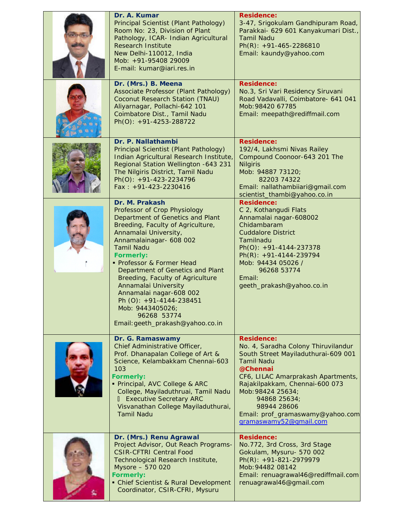| Dr. A. Kumar<br>Principal Scientist (Plant Pathology)<br>Room No: 23, Division of Plant<br>Pathology, ICAR- Indian Agricultural<br><b>Research Institute</b><br>New Delhi-110012, India<br>Mob: +91-95408 29009<br>E-mail: kumar@iari.res.in                                                                                                                                                                                                                                   | <b>Residence:</b><br>3-47, Srigokulam Gandhipuram Road,<br>Parakkai- 629 601 Kanyakumari Dist.,<br><b>Tamil Nadu</b><br>Ph(R): $+91-465-2286810$<br>Email: kaundy@yahoo.com                                                                                                                                                |
|--------------------------------------------------------------------------------------------------------------------------------------------------------------------------------------------------------------------------------------------------------------------------------------------------------------------------------------------------------------------------------------------------------------------------------------------------------------------------------|----------------------------------------------------------------------------------------------------------------------------------------------------------------------------------------------------------------------------------------------------------------------------------------------------------------------------|
| Dr. (Mrs.) B. Meena<br>Associate Professor (Plant Pathology)<br>Coconut Research Station (TNAU)<br>Aliyarnagar, Pollachi-642 101<br>Coimbatore Dist., Tamil Nadu<br>Ph(O): +91-4253-288722                                                                                                                                                                                                                                                                                     | <b>Residence:</b><br>No.3, Sri Vari Residency Siruvani<br>Road Vadavalli, Coimbatore- 641 041<br>Mob: 98420 67785<br>Email: meepath@rediffmail.com                                                                                                                                                                         |
| Dr. P. Nallathambi<br>Principal Scientist (Plant Pathology)<br>Indian Agricultural Research Institute,<br>Regional Station Wellington -643 231<br>The Nilgiris District, Tamil Nadu<br>Ph(O): +91-423-2234796<br>$Fax: +91-423-2230416$                                                                                                                                                                                                                                        | <b>Residence:</b><br>192/4, Lakhsmi Nivas Railey<br>Compound Coonoor-643 201 The<br><b>Nilgiris</b><br>Mob: 94887 73120;<br>82203 74322<br>Email: nallathambiiari@gmail.com<br>scientist_thambi@yahoo.co.in                                                                                                                |
| Dr. M. Prakash<br>Professor of Crop Physiology<br>Department of Genetics and Plant<br>Breeding, Faculty of Agriculture,<br>Annamalai University,<br>Annamalainagar- 608 002<br><b>Tamil Nadu</b><br><b>Formerly:</b><br>• Professor & Former Head<br>Department of Genetics and Plant<br>Breeding, Faculty of Agriculture<br>Annamalai University<br>Annamalai nagar-608 002<br>Ph (O): +91-4144-238451<br>Mob: 9443405026;<br>96268 53774<br>Email: geeth_prakash@yahoo.co.in | <b>Residence:</b><br>C 2, Kothangudi Flats<br>Annamalai nagar-608002<br>Chidambaram<br><b>Cuddalore District</b><br>Tamilnadu<br>$Ph(O): +91-4144-237378$<br>$Ph(R): +91-4144-239794$<br>Mob: 94434 05026 /<br>96268 53774<br>Email:<br>geeth_prakash@yahoo.co.in                                                          |
| Dr. G. Ramaswamy<br>Chief Administrative Officer,<br>Prof. Dhanapalan College of Art &<br>Science, Kelambakkam Chennai-603<br>103<br><b>Formerly:</b><br>· Principal, AVC College & ARC<br>College, Mayiladuthruai, Tamil Nadu<br><b>I</b> Executive Secretary ARC<br>Visvanathan College Mayiladuthurai,<br><b>Tamil Nadu</b>                                                                                                                                                 | <b>Residence:</b><br>No. 4, Saradha Colony Thiruvilandur<br>South Street Mayiladuthurai-609 001<br><b>Tamil Nadu</b><br>@Chennai<br>CF6, LILAC Amarprakash Apartments,<br>Rajakilpakkam, Chennai-600 073<br>Mob: 98424 25634;<br>94868 25634;<br>98944 28606<br>Email: prof_gramaswamy@yahoo.com<br>gramaswamy52@gmail.com |
| Dr. (Mrs.) Renu Agrawal<br>Project Advisor, Out Reach Programs-<br><b>CSIR-CFTRI Central Food</b><br>Technological Research Institute,<br>Mysore - 570 020<br><b>Formerly:</b><br>• Chief Scientist & Rural Development<br>Coordinator, CSIR-CFRI, Mysuru                                                                                                                                                                                                                      | <b>Residence:</b><br>No.772, 3rd Cross, 3rd Stage<br>Gokulam, Mysuru- 570 002<br>Ph(R): +91-821-2979979<br>Mob: 94482 08142<br>Email: renuagrawal46@rediffmail.com<br>renuagrawal46@gmail.com                                                                                                                              |